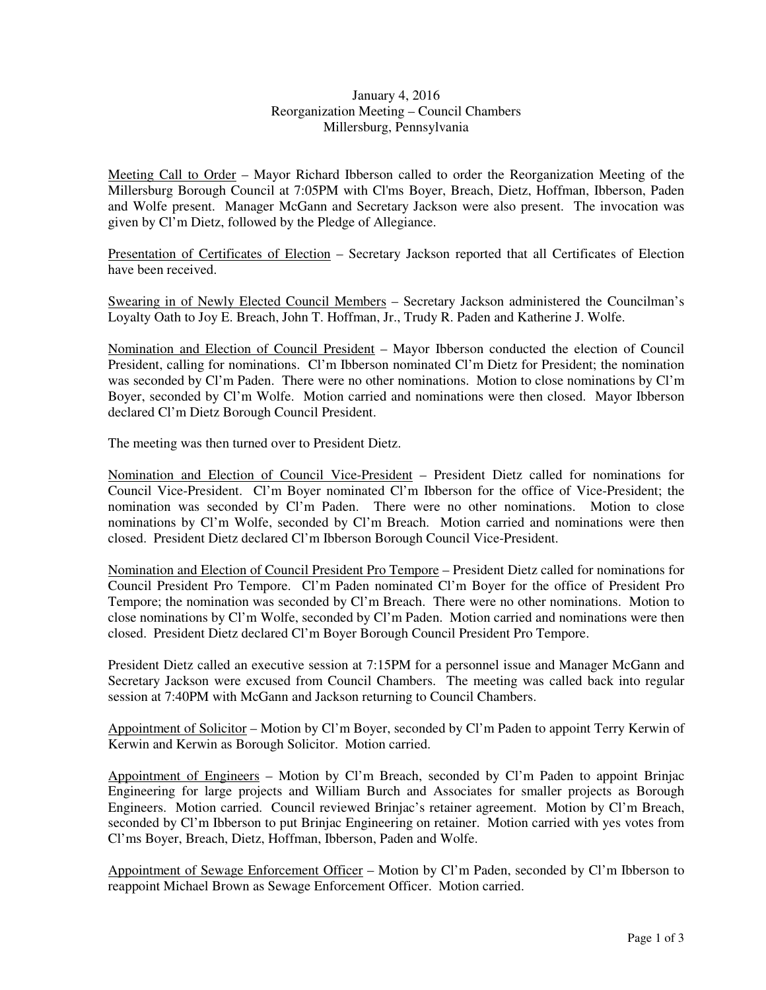## January 4, 2016 Reorganization Meeting – Council Chambers Millersburg, Pennsylvania

Meeting Call to Order – Mayor Richard Ibberson called to order the Reorganization Meeting of the Millersburg Borough Council at 7:05PM with Cl'ms Boyer, Breach, Dietz, Hoffman, Ibberson, Paden and Wolfe present. Manager McGann and Secretary Jackson were also present. The invocation was given by Cl'm Dietz, followed by the Pledge of Allegiance.

Presentation of Certificates of Election – Secretary Jackson reported that all Certificates of Election have been received.

Swearing in of Newly Elected Council Members – Secretary Jackson administered the Councilman's Loyalty Oath to Joy E. Breach, John T. Hoffman, Jr., Trudy R. Paden and Katherine J. Wolfe.

Nomination and Election of Council President – Mayor Ibberson conducted the election of Council President, calling for nominations. Cl'm Ibberson nominated Cl'm Dietz for President; the nomination was seconded by Cl'm Paden. There were no other nominations. Motion to close nominations by Cl'm Boyer, seconded by Cl'm Wolfe. Motion carried and nominations were then closed. Mayor Ibberson declared Cl'm Dietz Borough Council President.

The meeting was then turned over to President Dietz.

Nomination and Election of Council Vice-President – President Dietz called for nominations for Council Vice-President. Cl'm Boyer nominated Cl'm Ibberson for the office of Vice-President; the nomination was seconded by Cl'm Paden. There were no other nominations. Motion to close nominations by Cl'm Wolfe, seconded by Cl'm Breach. Motion carried and nominations were then closed. President Dietz declared Cl'm Ibberson Borough Council Vice-President.

Nomination and Election of Council President Pro Tempore – President Dietz called for nominations for Council President Pro Tempore. Cl'm Paden nominated Cl'm Boyer for the office of President Pro Tempore; the nomination was seconded by Cl'm Breach. There were no other nominations. Motion to close nominations by Cl'm Wolfe, seconded by Cl'm Paden. Motion carried and nominations were then closed. President Dietz declared Cl'm Boyer Borough Council President Pro Tempore.

President Dietz called an executive session at 7:15PM for a personnel issue and Manager McGann and Secretary Jackson were excused from Council Chambers. The meeting was called back into regular session at 7:40PM with McGann and Jackson returning to Council Chambers.

Appointment of Solicitor – Motion by Cl'm Boyer, seconded by Cl'm Paden to appoint Terry Kerwin of Kerwin and Kerwin as Borough Solicitor. Motion carried.

Appointment of Engineers – Motion by Cl'm Breach, seconded by Cl'm Paden to appoint Brinjac Engineering for large projects and William Burch and Associates for smaller projects as Borough Engineers. Motion carried. Council reviewed Brinjac's retainer agreement. Motion by Cl'm Breach, seconded by Cl'm Ibberson to put Brinjac Engineering on retainer. Motion carried with yes votes from Cl'ms Boyer, Breach, Dietz, Hoffman, Ibberson, Paden and Wolfe.

Appointment of Sewage Enforcement Officer – Motion by Cl'm Paden, seconded by Cl'm Ibberson to reappoint Michael Brown as Sewage Enforcement Officer. Motion carried.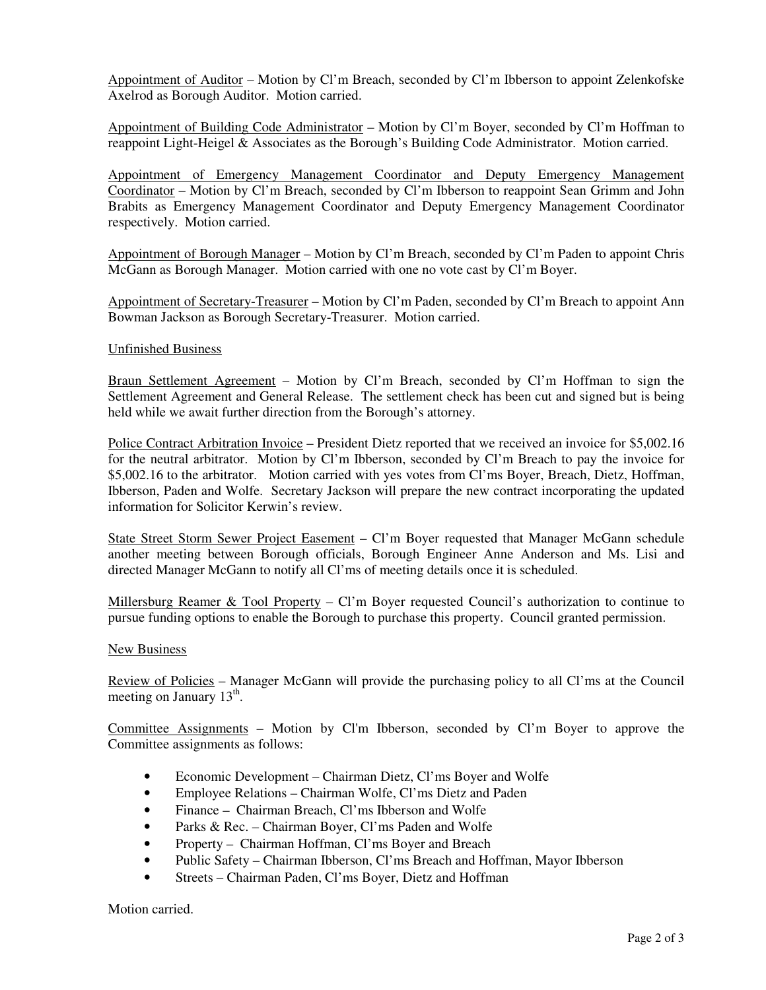Appointment of Auditor – Motion by Cl'm Breach, seconded by Cl'm Ibberson to appoint Zelenkofske Axelrod as Borough Auditor. Motion carried.

Appointment of Building Code Administrator – Motion by Cl'm Boyer, seconded by Cl'm Hoffman to reappoint Light-Heigel & Associates as the Borough's Building Code Administrator. Motion carried.

Appointment of Emergency Management Coordinator and Deputy Emergency Management Coordinator – Motion by Cl'm Breach, seconded by Cl'm Ibberson to reappoint Sean Grimm and John Brabits as Emergency Management Coordinator and Deputy Emergency Management Coordinator respectively. Motion carried.

Appointment of Borough Manager – Motion by Cl'm Breach, seconded by Cl'm Paden to appoint Chris McGann as Borough Manager. Motion carried with one no vote cast by Cl'm Boyer.

Appointment of Secretary-Treasurer – Motion by Cl'm Paden, seconded by Cl'm Breach to appoint Ann Bowman Jackson as Borough Secretary-Treasurer. Motion carried.

## Unfinished Business

Braun Settlement Agreement – Motion by Cl'm Breach, seconded by Cl'm Hoffman to sign the Settlement Agreement and General Release. The settlement check has been cut and signed but is being held while we await further direction from the Borough's attorney.

Police Contract Arbitration Invoice – President Dietz reported that we received an invoice for \$5,002.16 for the neutral arbitrator. Motion by Cl'm Ibberson, seconded by Cl'm Breach to pay the invoice for \$5,002.16 to the arbitrator. Motion carried with yes votes from Cl'ms Boyer, Breach, Dietz, Hoffman, Ibberson, Paden and Wolfe. Secretary Jackson will prepare the new contract incorporating the updated information for Solicitor Kerwin's review.

State Street Storm Sewer Project Easement – Cl'm Boyer requested that Manager McGann schedule another meeting between Borough officials, Borough Engineer Anne Anderson and Ms. Lisi and directed Manager McGann to notify all Cl'ms of meeting details once it is scheduled.

Millersburg Reamer & Tool Property – Cl'm Boyer requested Council's authorization to continue to pursue funding options to enable the Borough to purchase this property. Council granted permission.

## New Business

Review of Policies – Manager McGann will provide the purchasing policy to all Cl'ms at the Council meeting on January  $13<sup>th</sup>$ .

Committee Assignments – Motion by Cl'm Ibberson, seconded by Cl'm Boyer to approve the Committee assignments as follows:

- Economic Development Chairman Dietz, Cl'ms Boyer and Wolfe
- Employee Relations Chairman Wolfe, Cl'ms Dietz and Paden
- Finance Chairman Breach, Cl'ms Ibberson and Wolfe
- Parks & Rec. Chairman Boyer, Cl'ms Paden and Wolfe
- Property Chairman Hoffman, Cl'ms Boyer and Breach
- Public Safety Chairman Ibberson, Cl'ms Breach and Hoffman, Mayor Ibberson
- Streets Chairman Paden, Cl'ms Boyer, Dietz and Hoffman